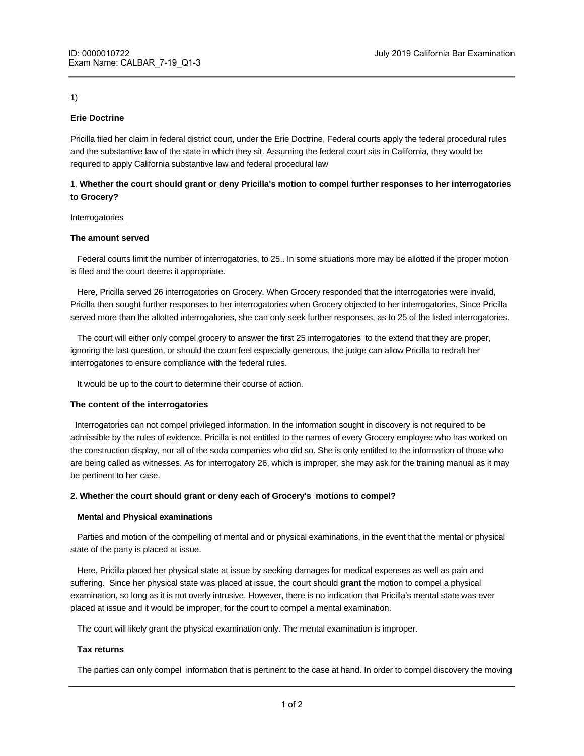# 1)

# **Erie Doctrine**

Pricilla filed her claim in federal district court, under the Erie Doctrine, Federal courts apply the federal procedural rules and the substantive law of the state in which they sit. Assuming the federal court sits in California, they would be required to apply California substantive law and federal procedural law

# 1. **Whether the court should grant or deny Pricilla's motion to compel further responses to her interrogatories to Grocery?**

## Interrogatories

## **The amount served**

 Federal courts limit the number of interrogatories, to 25.. In some situations more may be allotted if the proper motion is filed and the court deems it appropriate.

 Here, Pricilla served 26 interrogatories on Grocery. When Grocery responded that the interrogatories were invalid, Pricilla then sought further responses to her interrogatories when Grocery objected to her interrogatories. Since Pricilla served more than the allotted interrogatories, she can only seek further responses, as to 25 of the listed interrogatories.

 The court will either only compel grocery to answer the first 25 interrogatories to the extend that they are proper, ignoring the last question, or should the court feel especially generous, the judge can allow Pricilla to redraft her interrogatories to ensure compliance with the federal rules.

It would be up to the court to determine their course of action.

# **The content of the interrogatories**

 Interrogatories can not compel privileged information. In the information sought in discovery is not required to be admissible by the rules of evidence. Pricilla is not entitled to the names of every Grocery employee who has worked on the construction display, nor all of the soda companies who did so. She is only entitled to the information of those who are being called as witnesses. As for interrogatory 26, which is improper, she may ask for the training manual as it may be pertinent to her case.

# **2. Whether the court should grant or deny each of Grocery's motions to compel?**

#### **Mental and Physical examinations**

 Parties and motion of the compelling of mental and or physical examinations, in the event that the mental or physical state of the party is placed at issue.

 Here, Pricilla placed her physical state at issue by seeking damages for medical expenses as well as pain and suffering. Since her physical state was placed at issue, the court should **grant** the motion to compel a physical examination, so long as it is not overly intrusive. However, there is no indication that Pricilla's mental state was ever placed at issue and it would be improper, for the court to compel a mental examination.

The court will likely grant the physical examination only. The mental examination is improper.

#### **Tax returns**

The parties can only compel information that is pertinent to the case at hand. In order to compel discovery the moving

party would have to make a claim as to how the information is necessary for them to make their case. There is no